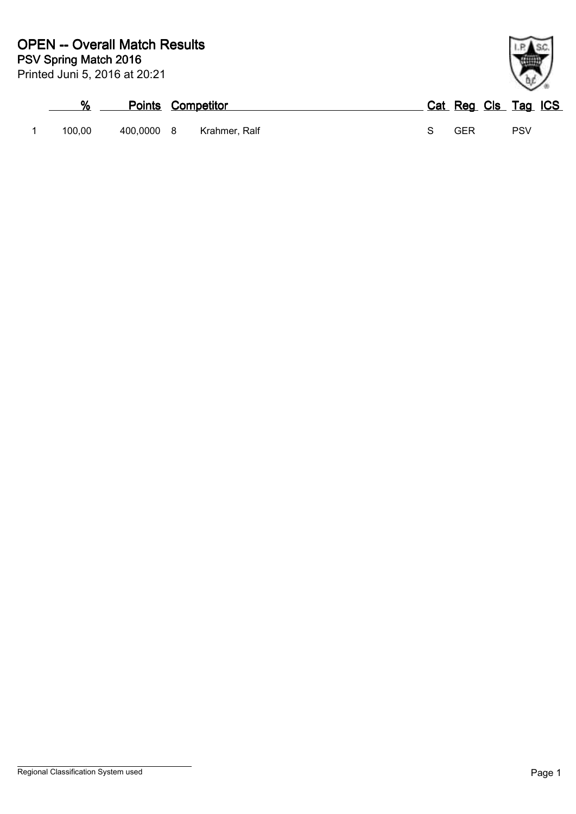| %      |            | <b>Points Competitor</b> | Cat Reg Cls Tag ICS |     |  |
|--------|------------|--------------------------|---------------------|-----|--|
| 100.00 | 400,0000 8 | Krahmer. Ralf            | GFR                 | PSV |  |

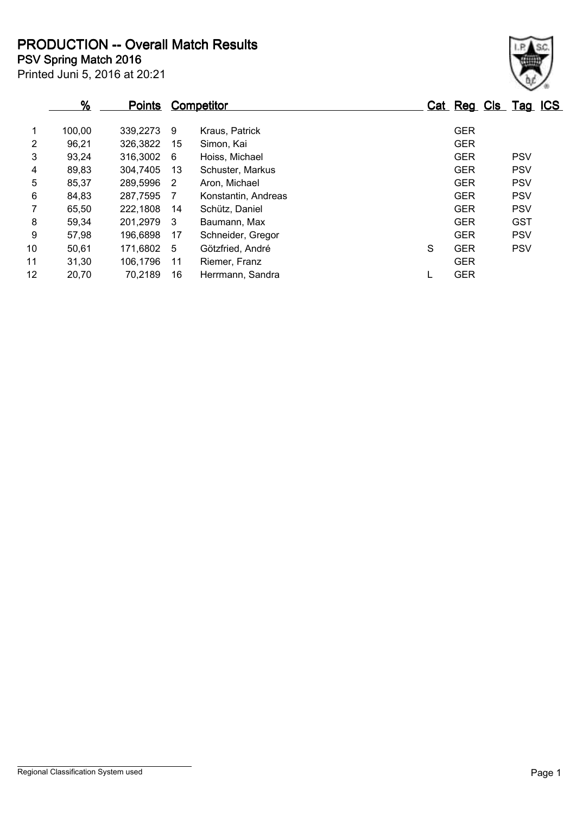**PSV Spring Match 2016 PRODUCTION -- Overall Match Results**

|                | $\frac{9}{6}$ | <u>Points</u> |    | <b>Competitor</b>   |   | Cat Reg Cls Tag ICS |            |  |
|----------------|---------------|---------------|----|---------------------|---|---------------------|------------|--|
|                | 100,00        | 339,2273      | 9  | Kraus, Patrick      |   | <b>GER</b>          |            |  |
| $\overline{2}$ | 96,21         | 326,3822      | 15 | Simon, Kai          |   | <b>GER</b>          |            |  |
| 3              | 93,24         | 316,3002      | 6  | Hoiss, Michael      |   | <b>GER</b>          | <b>PSV</b> |  |
| 4              | 89,83         | 304,7405      | 13 | Schuster, Markus    |   | <b>GER</b>          | <b>PSV</b> |  |
| 5              | 85,37         | 289,5996      | -2 | Aron, Michael       |   | <b>GER</b>          | <b>PSV</b> |  |
| 6              | 84,83         | 287,7595      | -7 | Konstantin, Andreas |   | <b>GER</b>          | <b>PSV</b> |  |
| $\overline{7}$ | 65,50         | 222,1808      | 14 | Schütz, Daniel      |   | <b>GER</b>          | <b>PSV</b> |  |
| 8              | 59,34         | 201,2979      | -3 | Baumann, Max        |   | <b>GER</b>          | <b>GST</b> |  |
| 9              | 57,98         | 196,6898      | 17 | Schneider, Gregor   |   | <b>GER</b>          | <b>PSV</b> |  |
| 10             | 50.61         | 171,6802      | 5  | Götzfried, André    | S | <b>GER</b>          | <b>PSV</b> |  |
| 11             | 31,30         | 106,1796      | 11 | Riemer, Franz       |   | <b>GER</b>          |            |  |
| 12             | 20,70         | 70,2189       | 16 | Herrmann, Sandra    |   | <b>GER</b>          |            |  |